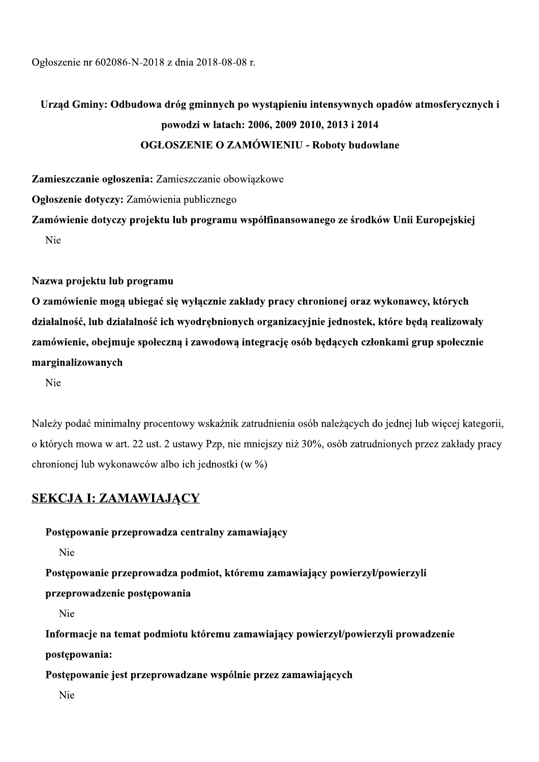Ogłoszenie nr 602086-N-2018 z dnia 2018-08-08 r.

# Urząd Gminy: Odbudowa dróg gminnych po wystąpieniu intensywnych opadów atmosferycznych i powodzi w latach: 2006, 2009 2010, 2013 i 2014 **OGŁOSZENIE O ZAMÓWIENIU - Roboty budowlane**

Zamieszczanie ogłoszenia: Zamieszczanie obowiazkowe Ogłoszenie dotyczy: Zamówienia publicznego Zamówienie dotyczy projektu lub programu współfinansowanego ze środków Unii Europejskiej

Nie

### Nazwa projektu lub programu

O zamówienie mogą ubiegać się wyłącznie zakłady pracy chronionej oraz wykonawcy, których działalność, lub działalność ich wyodrębnionych organizacyjnie jednostek, które będą realizowały zamówienie, obejmuje społeczna i zawodowa integracje osób bedacych członkami grup społecznie marginalizowanych

Nie

Należy podać minimalny procentowy wskaźnik zatrudnienia osób należacych do jednej lub wiecej kategorii, o których mowa w art. 22 ust. 2 ustawy Pzp, nie mniejszy niż 30%, osób zatrudnionych przez zakłady pracy chronionej lub wykonawców albo ich jednostki (w %)

# **SEKCJA I: ZAMAWIAJĄCY**

Postępowanie przeprowadza centralny zamawiający

Nie

Postępowanie przeprowadza podmiot, któremu zamawiający powierzył/powierzyli

przeprowadzenie postępowania

Nie

Informacje na temat podmiotu któremu zamawiający powierzył/powierzyli prowadzenie postępowania:

Postępowanie jest przeprowadzane wspólnie przez zamawiających

Nie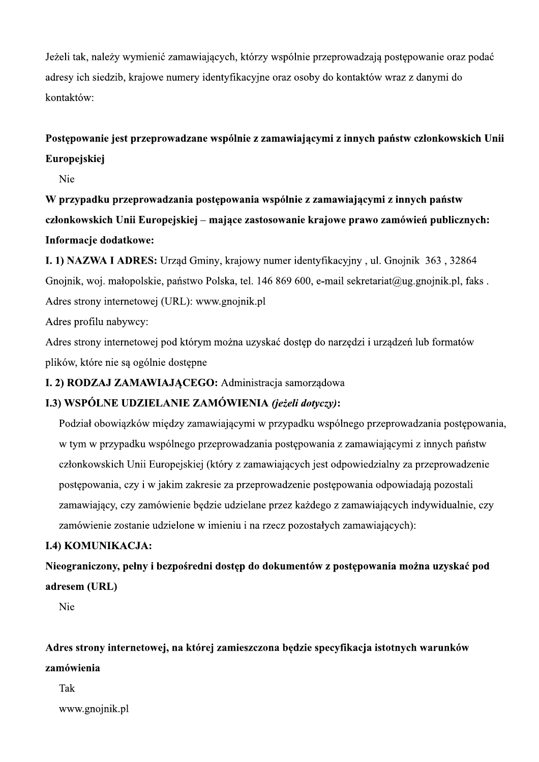Jeżeli tak, należy wymienić zamawiających, którzy wspólnie przeprowadzają postępowanie oraz podać adresy ich siedzib, krajowe numery identyfikacyjne oraz osoby do kontaktów wraz z danymi do kontaktów:

# Postępowanie jest przeprowadzane wspólnie z zamawiającymi z innych państw członkowskich Unii Europejskiej

Nie

W przypadku przeprowadzania postępowania wspólnie z zamawiającymi z innych państw członkowskich Unii Europejskiej – mające zastosowanie krajowe prawo zamówień publicznych: Informacje dodatkowe:

I. 1) NAZWA I ADRES: Urząd Gminy, krajowy numer identyfikacyjny, ul. Gnojnik 363, 32864 Gnojnik, woj. małopolskie, państwo Polska, tel. 146 869 600, e-mail sekretariat@ug.gnojnik.pl, faks. Adres strony internetowej (URL): www.gnojnik.pl

Adres profilu nabywcy:

Adres strony internetowej pod którym można uzyskać dostep do narzedzi i urządzeń lub formatów plików, które nie sa ogólnie dostepne

# I. 2) RODZAJ ZAMAWIAJĄCEGO: Administracja samorządowa

# I.3) WSPÓLNE UDZIELANIE ZAMÓWIENIA (jeżeli dotyczy):

Podział obowiazków miedzy zamawiającymi w przypadku wspólnego przeprowadzania postepowania, w tym w przypadku wspólnego przeprowadzania postępowania z zamawiającymi z innych państw członkowskich Unii Europejskiej (który z zamawiających jest odpowiedzialny za przeprowadzenie postępowania, czy i w jakim zakresie za przeprowadzenie postępowania odpowiadają pozostali zamawiający, czy zamówienie będzie udzielane przez każdego z zamawiających indywidualnie, czy zamówienie zostanie udzielone w imieniu i na rzecz pozostałych zamawiających):

### **I.4) KOMUNIKACJA:**

Nieograniczony, pełny i bezpośredni dostęp do dokumentów z postępowania można uzyskać pod adresem (URL)

Nie

Adres strony internetowej, na której zamieszczona będzie specyfikacja istotnych warunków zamówienia

### Tak

www.gnojnik.pl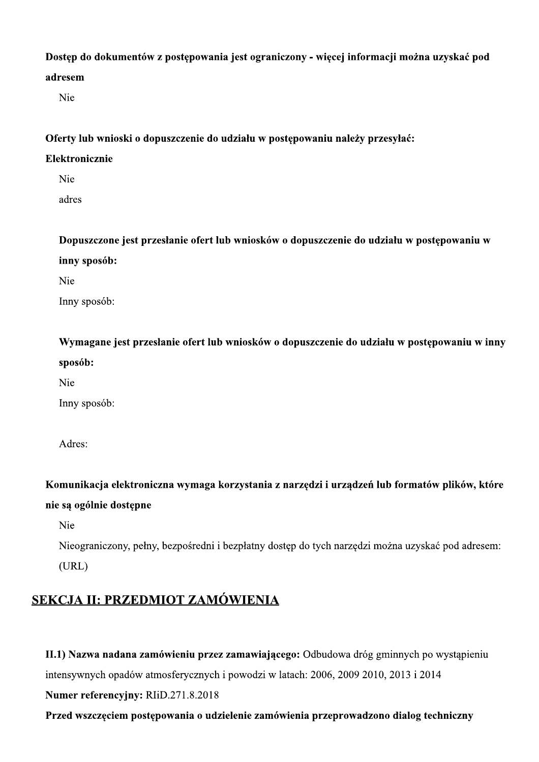### Dostep do dokumentów z postepowania jest ograniczony - wiecej informacji można uzyskać pod

### adresem

Nie

Oferty lub wnioski o dopuszczenie do udziału w postępowaniu należy przesyłać:

### Elektronicznie

Nie

adres

Dopuszczone jest przesłanie ofert lub wniosków o dopuszczenie do udziału w postępowaniu w inny sposób:

Nie

Inny sposób:

Wymagane jest przesłanie ofert lub wniosków o dopuszczenie do udziału w postępowaniu w inny sposób:

Nie

Inny sposób:

Adres:

Komunikacja elektroniczna wymaga korzystania z narzędzi i urządzeń lub formatów plików, które nie są ogólnie dostępne

Nie

Nieograniczony, pełny, bezpośredni i bezpłatny dostęp do tych narzędzi można uzyskać pod adresem:  $(URL)$ 

# SEKCJA II: PRZEDMIOT ZAMÓWIENIA

II.1) Nazwa nadana zamówieniu przez zamawiającego: Odbudowa dróg gminnych po wystąpieniu

intensywnych opadów atmosferycznych i powodzi w latach: 2006, 2009 2010, 2013 i 2014

Numer referencyjny: RIiD.271.8.2018

Przed wszczęciem postępowania o udzielenie zamówienia przeprowadzono dialog techniczny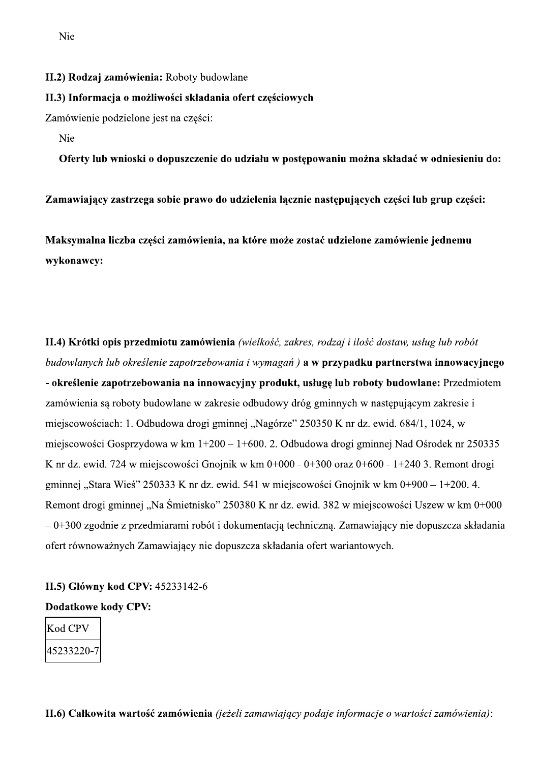II.2) Rodzaj zamówienia: Roboty budowlane

#### II.3) Informacja o możliwości składania ofert częściowych

Zamówienie podzielone jest na części:

Nie

Oferty lub wnioski o dopuszczenie do udziału w postępowaniu można składać w odniesieniu do:

Zamawiający zastrzega sobie prawo do udzielenia łącznie następujących części lub grup części:

Maksymalna liczba części zamówienia, na które może zostać udzielone zamówienie jednemu wykonawcy:

II.4) Krótki opis przedmiotu zamówienia (wielkość, zakres, rodzaj i ilość dostaw, usług lub robót budowlanych lub określenie zapotrzebowania i wymagań) a w przypadku partnerstwa innowacyjnego - określenie zapotrzebowania na innowacyjny produkt, usługę lub roboty budowlane: Przedmiotem zamówienia sa roboty budowlane w zakresie odbudowy dróg gminnych w następującym zakresie i miejscowościach: 1. Odbudowa drogi gminnej "Nagórze" 250350 K nr dz. ewid. 684/1, 1024, w miejscowości Gosprzydowa w km 1+200 – 1+600. 2. Odbudowa drogi gminnej Nad Ośrodek nr 250335 K nr dz. ewid. 724 w miejscowości Gnojnik w km 0+000 - 0+300 oraz 0+600 - 1+240 3. Remont drogi gminnej "Stara Wieś" 250333 K nr dz. ewid. 541 w miejscowości Gnojnik w km 0+900 – 1+200. 4. Remont drogi gminnej "Na Śmietnisko" 250380 K nr dz. ewid. 382 w miejscowości Uszew w km 0+000  $-0+300$  zgodnie z przedmiarami robót i dokumentacją techniczną. Zamawiający nie dopuszcza składania ofert równoważnych Zamawiający nie dopuszcza składania ofert wariantowych.

# II.5) Główny kod CPV: 45233142-6

### **Dodatkowe kody CPV:**

| Kod CPV    |  |
|------------|--|
| 45233220-7 |  |

**II.6) Całkowita wartość zamówienia** (jeżeli zamawiający podaje informacje o wartości zamówienia):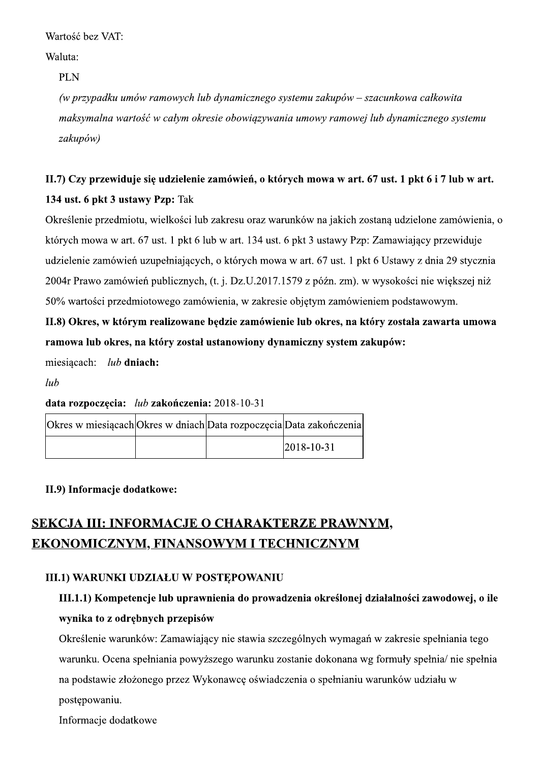Wartosc bez VAI:

Waluta:

Wartość bez VAT:<br>
Waluta:<br>
PLN<br>
(w przypadku umów ramowych lub dynamicznego systemu zakupów – szacunkowa całkowita<br>
maksymalna wartość w całym okresie obowiązywania umowy ramowej lub dynamicznego systemu<br>
zakupów)<br>
II.7) C

# II.7) Czy przewiduje się udzielenie zamówień, o których mowa w art. 67 ust. 1 pkt 6 i 7 lub w art. 134 ust. 6 pkt 3 ustawy Pzp: Tak

Okreslenie przedmiotu, wielkości lub zakresu oraz warunków na jakich zostaną udzielone zamówienia, o ktorych mowa w art. 67 ust. 1 pkt 6 lub w art. 134 ust. 6 pkt 3 ustawy Pzp: Zamawiający przewiduje udzielenie zamówień uzupełniających, o których mówa w art. 67 ust. 1 pkt 6 Ustawy z dnia 29 stycznia 2004r Prawo zamówień publicznych, (t. j. Dz.U.2017.1579 z późn. zm). w wysokości nie większej niż 50% wartości przedmiotowego zamówienia, w zakresie objętym zamówieniem podstawowym.

II.8) Okres, w którym realizowane będzie zamówienie lub okres, na który została zawarta umowa ramowa lub okres, na który został ustanowiony dynamiczny system zakupów:

miesiacach:  $lub$  dniach:

 $lub$ 

# data rozpoczecia:  $lub$ zakończenia: 2018-10-31

| Okres w miesiącach Okres w dniach Data rozpoczęcia Data zakończenia |  |                  |
|---------------------------------------------------------------------|--|------------------|
|                                                                     |  | $2018 - 10 - 31$ |

# II.9) Informacje dodatkowe:

# SEKCJA III: INFORMACJE O CHARAKTERZE PRAWNYM. EKONOMICZNYM, FINANSOWYM I TECHNICZNYM

# III.1) WARUNKI UDZIAŁU W POSTEPOWANIU

# III.1.1) Kompetencje lub uprawnienia do prowadzenia określonej działalności zawodowej, o ile wynika to z odrębnych przepisów

Okreslenie warunkow: Zamawiający nie stawia szczegolnych wymagan w zakresie spełniania tego warunku. Ocena spełniania powyzszego warunku zostanie dokonana wg formuły spełnia/ nie spełnia na podstawie złozonego przez Wykonawcę oswiadczenia o spełnianiu warunkow udziału w postępowaniu.

Informacje dodatkowe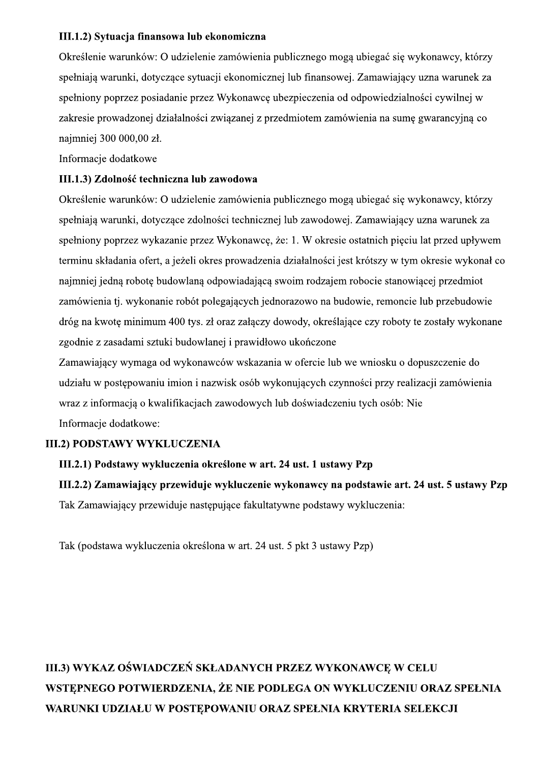### III.1.2) Sytuacja finansowa lub ekonomiczna

Określenie warunków: O udzielenie zamówienia publicznego mogą ubiegać się wykonawcy, którzy spełniają warunki, dotyczące sytuacji ekonomicznej lub finansowej. Zamawiający uzna warunek za spełniony poprzez posiadanie przez Wykonawcę ubezpieczenia od odpowiedzialności cywilnej w zakresie prowadzonej działalności związanej z przedmiotem zamówienia na sumę gwarancyjną co najmniej 300 000,00 zł.

Informacje dodatkowe

### III.1.3) Zdolność techniczna lub zawodowa

Określenie warunków: O udzielenie zamówienia publicznego mogą ubiegać się wykonawcy, którzy spełniają warunki, dotyczące zdolności technicznej lub zawodowej. Zamawiający uzna warunek za spełniony poprzez wykazanie przez Wykonawcę, że: 1. W okresie ostatnich pięciu lat przed upływem terminu składania ofert, a jeżeli okres prowadzenia działalności jest krótszy w tym okresie wykonał co najmniej jedną robotę budowlaną odpowiadającą swoim rodzajem robocie stanowiącej przedmiot zamówienia tj. wykonanie robót polegających jednorazowo na budowie, remoncie lub przebudowie dróg na kwotę minimum 400 tys. zł oraz załączy dowody, określające czy roboty te zostały wykonane zgodnie z zasadami sztuki budowlanej i prawidłowo ukończone

Zamawiający wymaga od wykonawców wskazania w ofercie lub we wniosku o dopuszczenie do udziału w postępowaniu imion i nazwisk osób wykonujących czynności przy realizacji zamówienia wraz z informacją o kwalifikacjąch zawodowych lub doświadczeniu tych osób: Nie Informacje dodatkowe:

### **III.2) PODSTAWY WYKLUCZENIA**

### III.2.1) Podstawy wykluczenia określone w art. 24 ust. 1 ustawy Pzp

III.2.2) Zamawiający przewiduje wykluczenie wykonawcy na podstawie art. 24 ust. 5 ustawy Pzp Tak Zamawiający przewiduje następujące fakultatywne podstawy wykluczenia:

Tak (podstawa wykluczenia określona w art. 24 ust. 5 pkt 3 ustawy Pzp)

# III.3) WYKAZ OŚWIADCZEŃ SKŁADANYCH PRZEZ WYKONAWCE W CELU WSTEPNEGO POTWIERDZENIA, ŻE NIE PODLEGA ON WYKLUCZENIU ORAZ SPEŁNIA WARUNKI UDZIAŁU W POSTEPOWANIU ORAZ SPEŁNIA KRYTERIA SELEKCJI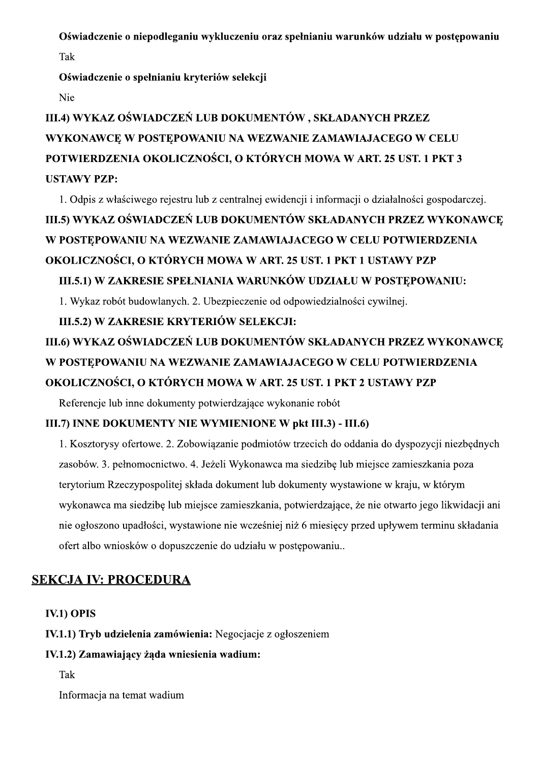Oświadczenie o niepodleganiu wykluczeniu oraz spełnianiu warunków udziału w postępowaniu

Tak

Oświadczenie o spełnianiu kryteriów selekcji

Nie

# III.4) WYKAZ OŚWIADCZEŃ LUB DOKUMENTÓW, SKŁADANYCH PRZEZ WYKONAWCE W POSTĘPOWANIU NA WEZWANIE ZAMAWIAJACEGO W CELU POTWIERDZENIA OKOLICZNOŚCI, O KTÓRYCH MOWA W ART. 25 UST. 1 PKT 3 **USTAWY PZP:**

1. Odpis z właściwego rejestru lub z centralnej ewidencji i informacji o działalności gospodarczej.

# III.5) WYKAZ OŚWIADCZEŃ LUB DOKUMENTÓW SKŁADANYCH PRZEZ WYKONAWCE W POSTĘPOWANIU NA WEZWANIE ZAMAWIAJACEGO W CELU POTWIERDZENIA

# OKOLICZNOŚCI, O KTÓRYCH MOWA W ART. 25 UST. 1 PKT 1 USTAWY PZP

# III.5.1) W ZAKRESIE SPEŁNIANIA WARUNKÓW UDZIAŁU W POSTEPOWANIU:

1. Wykaz robót budowlanych. 2. Ubezpieczenie od odpowiedzialności cywilnej.

# III.5.2) W ZAKRESIE KRYTERIÓW SELEKCJI:

# III.6) WYKAZ OŚWIADCZEŃ LUB DOKUMENTÓW SKŁADANYCH PRZEZ WYKONAWCE W POSTEPOWANIU NA WEZWANIE ZAMAWIAJACEGO W CELU POTWIERDZENIA OKOLICZNOŚCI, O KTÓRYCH MOWA W ART. 25 UST. 1 PKT 2 USTAWY PZP

Referencie lub inne dokumenty potwierdzające wykonanie robót

# III.7) INNE DOKUMENTY NIE WYMIENIONE W pkt III.3) - III.6)

1. Kosztorysy ofertowe. 2. Zobowiazanie podmiotów trzecich do oddania do dyspozycji niezbednych zasobów. 3. pełnomocnictwo. 4. Jeżeli Wykonawca ma siedzibę lub miejsce zamieszkania poza terytorium Rzeczypospolitej składa dokument lub dokumenty wystawione w kraju, w którym wykonawca ma siedzibę lub miejsce zamieszkania, potwierdzające, że nie otwarto jego likwidacji ani nie ogłoszono upadłości, wystawione nie wcześniej niż 6 miesięcy przed upływem terminu składania ofert albo wniosków o dopuszczenie do udziału w postępowaniu...

# **SEKCJA IV: PROCEDURA**

### IV.1) OPIS

IV.1.1) Tryb udzielenia zamówienia: Negocjacje z ogłoszeniem

# IV.1.2) Zamawiający żąda wniesienia wadium:

Tak

Informacja na temat wadium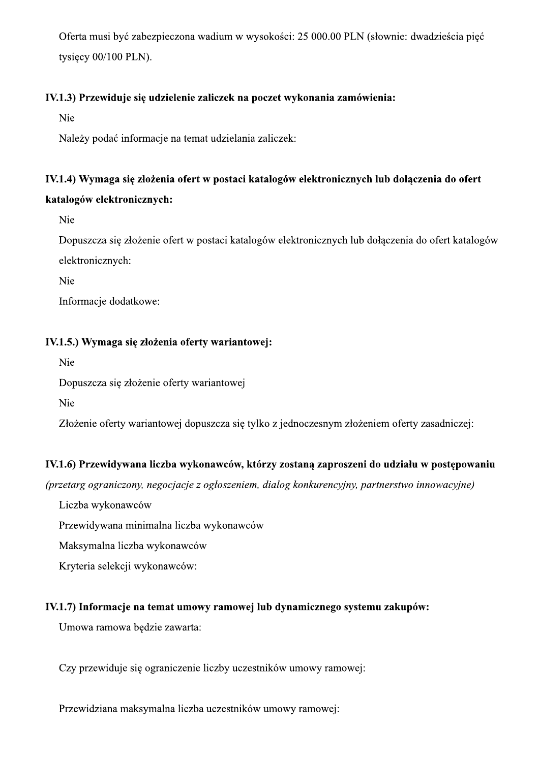Oferta musi być zabezpieczona wadium w wysokości: 25 000.00 PLN (słownie: dwadzieścia pieć tysiecy 00/100 PLN).

### IV.1.3) Przewiduje się udzielenie zaliczek na poczet wykonania zamówienia:

Nie

Należy podać informacje na temat udzielania zaliczek:

# IV.1.4) Wymaga się złożenia ofert w postaci katalogów elektronicznych lub dołączenia do ofert

### katalogów elektronicznych:

Nie

Dopuszcza się złożenie ofert w postaci katalogów elektronicznych lub dołączenia do ofert katalogów elektronicznych:

Nie

Informacje dodatkowe:

### IV.1.5.) Wymaga się złożenia oferty wariantowej:

Nie

Dopuszcza się złożenie oferty wariantowej

Nie

Złożenie oferty wariantowej dopuszcza się tylko z jednoczesnym złożeniem oferty zasadniczej:

### IV.1.6) Przewidywana liczba wykonawców, którzy zostaną zaproszeni do udziału w postępowaniu

(przetarg ograniczony, negocjacje z ogłoszeniem, dialog konkurencyjny, partnerstwo innowacyjne)

Liczba wykonawców

Przewidywana minimalna liczba wykonawców

Maksymalna liczba wykonawców

Kryteria selekcji wykonawców:

### IV.1.7) Informacje na temat umowy ramowej lub dynamicznego systemu zakupów:

Umowa ramowa będzie zawarta:

Czy przewiduje się ograniczenie liczby uczestników umowy ramowej:

Przewidziana maksymalna liczba uczestników umowy ramowej: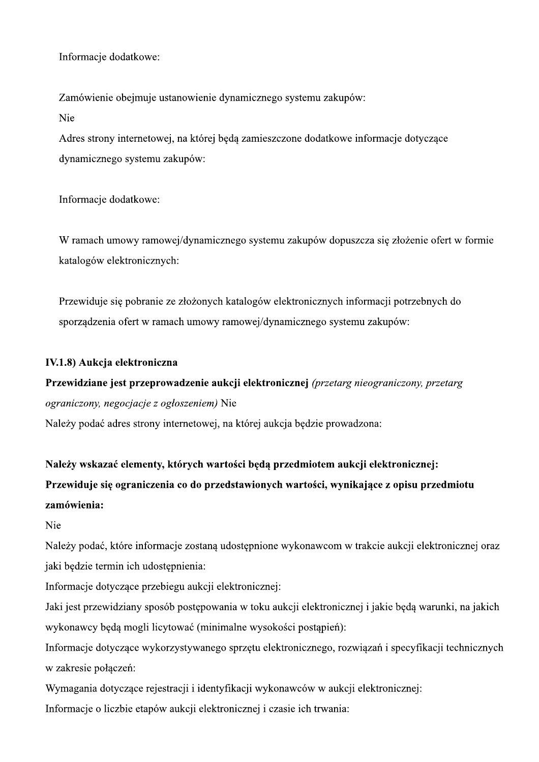Informacje dodatkowe:

Zamówienie obejmuje ustanowienie dynamicznego systemu zakupów: Nie

Adres strony internetowej, na której będą zamieszczone dodatkowe informacje dotyczące dynamicznego systemu zakupów:

Informacje dodatkowe:

W ramach umowy ramowej/dynamicznego systemu zakupów dopuszcza się złożenie ofert w formie katalogów elektronicznych:

Przewiduje się pobranie ze złożonych katalogów elektronicznych informacji potrzebnych do sporządzenia ofert w ramach umowy ramowej/dynamicznego systemu zakupów:

### IV.1.8) Aukcja elektroniczna

Przewidziane jest przeprowadzenie aukcji elektronicznej (przetarg nieograniczony, przetarg ograniczony, negocjacje z ogłoszeniem) Nie Należy podać adres strony internetowej, na której aukcja bedzie prowadzona:

Należy wskazać elementy, których wartości będą przedmiotem aukcji elektronicznej: Przewiduje się ograniczenia co do przedstawionych wartości, wynikające z opisu przedmiotu zamówienia:

Nie

Należy podać, które informacje zostaną udostępnione wykonawcom w trakcie aukcji elektronicznej oraz jaki będzie termin ich udostępnienia:

Informacje dotyczące przebiegu aukcji elektronicznej:

Jaki jest przewidziany sposób postępowania w toku aukcji elektronicznej i jakie będą warunki, na jakich wykonawcy będą mogli licytować (minimalne wysokości postąpień):

Informacje dotyczące wykorzystywanego sprzętu elektronicznego, rozwiązań i specyfikacji technicznych w zakresie połączeń:

Wymagania dotyczące rejestracji i identyfikacji wykonawców w aukcji elektronicznej:

Informacje o liczbie etapów aukcji elektronicznej i czasie ich trwania: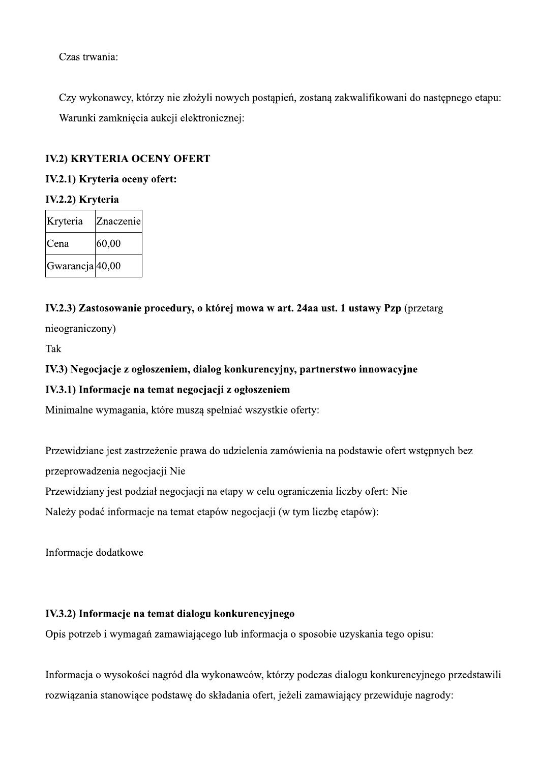Czas trwania:

Czy wykonawcy, którzy nie złożyli nowych postapień, zostana zakwalifikowani do nastepnego etapu: Warunki zamkniecia aukcii elektronicznei:

|                  | Czas trwania:                 |                                      |
|------------------|-------------------------------|--------------------------------------|
|                  |                               | Czy wykonawcy, którzy nie złożyli n  |
|                  |                               | Warunki zamknięcia aukcji elektronic |
|                  |                               | <b>IV.2) KRYTERIA OCENY OFERT</b>    |
|                  | IV.2.1) Kryteria oceny ofert: |                                      |
| IV.2.2) Kryteria |                               |                                      |
|                  |                               |                                      |
| Kryteria         | Znaczenie                     |                                      |
| Cena             | 60,00                         |                                      |

# $I$ V.2.3) Zastosowanie procedury, o którei mowa w art. 24aa ust. 1 ustawy Pzp (przetarg-

nieograniczony)

**Tak** 

# IV.3) Negocjacje z ogłoszeniem, dialog konkurencyjny, partnerstwo innowacyjne

### IV.3.1) Informacje na temat negocjacji z ogłoszeniem

Minimalne wymagania, które musza spełniać wszystkie oferty:

Przewidziane jest zastrzeżenie prawa do udzielenia zamówienia na podstawie ofert wstepnych bez przeprowadzenia negociacii Nie

Przewidziany jest podział negociacii na etapy w celu ograniczenia liczby ofert: Nie

Należy podać informacie na temat etapów negociacii (w tym liczbe etapów):

Informacje dodatkowe

# IV.3.2) Informacje na temat dialogu konkurencyjnego

Opis potrzeb i wymagań zamawiającego lub informacia o sposobie uzyskania tego opisu:

Informacia o wysokości nagród dla wykonawców, którzy podczas dialogu konkurencyinego przedstawili rozwiazania stanowiace podstawe do składania ofert, jeżeli zamawiający przewiduje nagrody: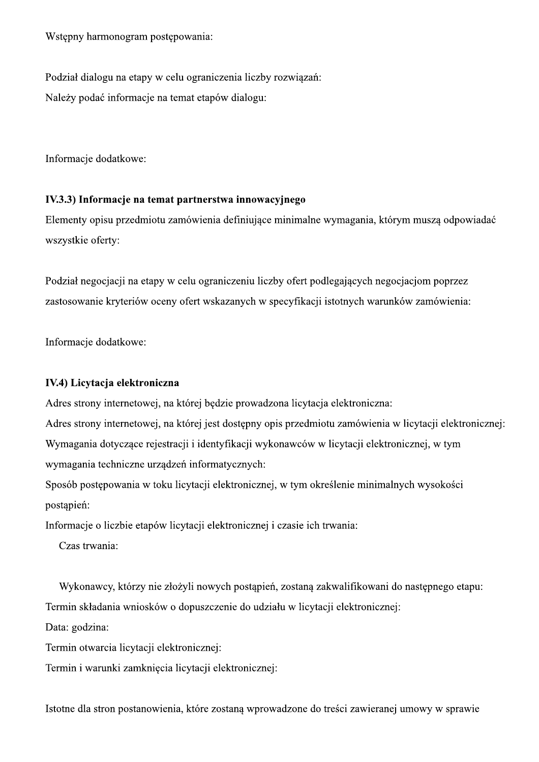Wstępny harmonogram postępowania:

Podział dialogu na etapy w celu ograniczenia liczby rozwiązań: Należy podać informacje na temat etapów dialogu:

Informacje dodatkowe:

### IV.3.3) Informacje na temat partnerstwa innowacyjnego

Elementy opisu przedmiotu zamówienia definiujące minimalne wymagania, którym muszą odpowiadać wszystkie oferty:

Podział negocjacji na etapy w celu ograniczeniu liczby ofert podlegających negocjacjom poprzez zastosowanie kryteriów oceny ofert wskazanych w specyfikacji istotnych warunków zamówienia:

Informacje dodatkowe:

### IV.4) Licytacja elektroniczna

Adres strony internetowej, na której będzie prowadzona licytacja elektroniczna:

Adres strony internetowej, na której jest dostępny opis przedmiotu zamówienia w licytacji elektronicznej: Wymagania dotyczące rejestracji i identyfikacji wykonawców w licytacji elektronicznej, w tym wymagania techniczne urządzeń informatycznych:

Sposób postępowania w toku licytacji elektronicznej, w tym określenie minimalnych wysokości postąpień:

Informacje o liczbie etapów licytacji elektronicznej i czasie ich trwania:

Czas trwania:

Wykonawcy, którzy nie złożyli nowych postąpień, zostaną zakwalifikowani do następnego etapu:

Termin składania wniosków o dopuszczenie do udziału w licytacji elektronicznej:

Data: godzina:

Termin otwarcia licytacji elektronicznej:

Termin i warunki zamknięcia licytacji elektronicznej:

Istotne dla stron postanowienia, które zostana wprowadzone do treści zawieranej umowy w sprawie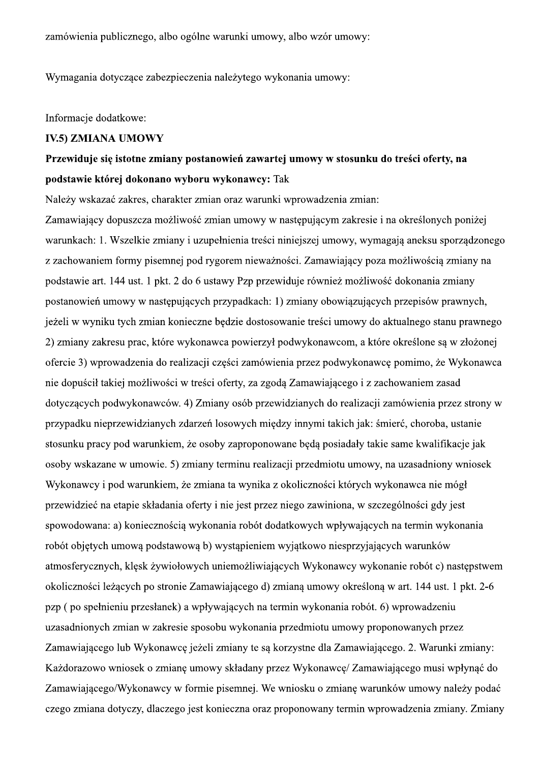zamówienia publicznego, albo ogólne warunki umowy, albo wzór umowy:

Wymagania dotyczące zabezpieczenia należytego wykonania umowy:

Informacje dodatkowe:

ian oraz warunki wprowadzenia zmian:

zamówienia publicznego, albo ogólne warunki umowy, albo wzór umowy:<br>
Wymagania dotyczące zabezpieczenia należytego wykonania umowy:<br>
IN:S) ZMIANA UMOWY<br>
Przewiduje się istotne zmiany postanowień zawartej umowy w stosunku d Zamawiający dopuszcza możliwość zmian umowy w nastepującym zakresie i na określonych poniżej warunkach: 1. Wszelkie zmiany i uzupełnienia treści niniejszej umowy, wymagają aneksu sporządzonego z zachowaniem formy pisemnej pod rygorem nieważności. Zamawiający poza możliwościa zmiany na podstawie art. 144 ust. 1 pkt. 2 do 6 ustawy Pzp przewiduje również możliwość dokonania zmiany postanowień umowy w nastepujących przypadkach: 1) zmiany obowiązujących przepisów prawnych. ieżeli w wyniku tych zmian konieczne bedzie dostosowanie treści umowy do aktualnego stanu prawnego 2) zmiany zakresu prac. które wykonawca powierzył podwykonawcom, a które określone sa w złożonej ofercie 3) wprowadzenia do realizacii cześci zamówienia przez podwykonawce pomimo, że Wykonawca nie dopuścił takiej możliwości w treści oferty, za zgoda Zamawiającego i z zachowaniem zasad dotyczących podwykonawców. 4) Zmiany osób przewidzianych do realizacji zamówienia przez strony w przypadku nieprzewidzianych zdarzeń losowych miedzy innymi takich jak: śmierć, choroba, ustanie stosunku pracy pod warunkiem, że osoby zaproponowane beda posiadały takie same kwalifikacie jak osoby wskazane w umowie. 5) zmiany terminu realizacii przedmiotu umowy, na uzasadniony wniosek Wykonawcy i pod warunkiem, że zmiana ta wynika z okoliczności których wykonawca nie mógł przewidzieć na etapie składania oferty i nie jest przez niego zawiniona, w szczególności gdy jest spowodowana: a) koniecznościa wykonania robót dodatkowych wpływających na termin wykonania robót objetych umowa podstawowa b) wystapieniem wyjatkowo niesprzyjających warunków atmosfervcznych, klesk żywiołowych uniemożliwiających Wykonawcy wykonanie robót c) nastepstwem okoliczności leżacych po stronie Zamawiającego d) zmiana umowy określona w art. 144 ust. 1 pkt. 2-6 pzp (po spełnieniu przesłanek) a wpływających na termin wykonania robót. 6) wprowadzeniu uzasadnionych zmian w zakresie sposobu wykonania przedmiotu umowy proponowanych przez Zamawiającego lub Wykonawce jeżeli zmiany te sa korzystne dla Zamawiającego, 2. Warunki zmiany: Każdorazowo wniosek o zmiane umowy składany przez Wykonawce/ Zamawiającego musi wpłynać do Zamawiającego/Wykonawcy w formię pisemnej. We wniosku o zmiane warunków umowy należy podać czego zmiana dotyczy, dlaczego jest konieczna oraz proponowany termin wprowadzenia zmiany. Zmiany